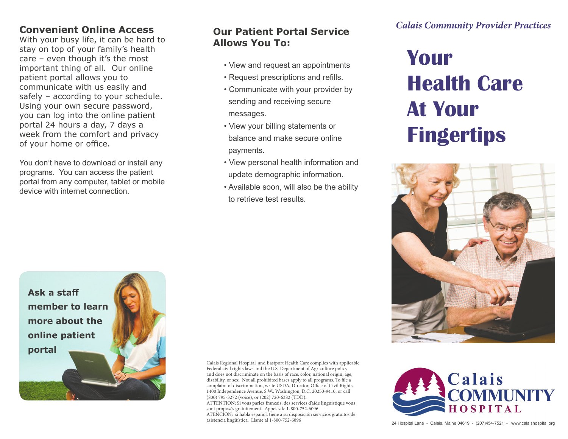## **Convenient Online Access**

With your busy life, it can be hard to stay on top of your family's health care – even though it's the most important thing of all. Our online patient portal allows you to communicate with us easily and safely – according to your schedule. Using your own secure password, you can log into the online patient portal 24 hours a day, 7 days a week from the comfort and privacy of your home or office.

You don't have to download or install any programs. You can access the patient portal from any computer, tablet or mobile device with internet connection.

## **Our Patient Portal Service Allows You To:**

- View and request an appointments
- Request prescriptions and refills.
- Communicate with your provider by sending and receiving secure messages.
- View your billing statements or balance and make secure online payments.
- View personal health information and update demographic information.
- Available soon, will also be the ability to retrieve test results.

*Calais Community Provider Practices*

## **Your Health Care At Your Fingertips**





24 Hospital Lane - Calais, Maine 04619 - (207)454-7521 - www.calaishospital.org



Calais Regional Hospital and Eastport Health Care complies with applicable Federal civil rights laws and the U.S. Department of Agriculture policy and does not discriminate on the basis of race, color, national origin, age, disability, or sex. Not all prohibited bases apply to all programs. To file a complaint of discrimination, write USDA, Director, Office of Civil Rights, 1400 Independence Avenue, S.W., Washington, D.C. 20250-9410, or call (800) 795-3272 (voice), or (202) 720-6382 (TDD). ATTENTION: Si vous parlez français, des services d'aide linguistique vous

sont proposés gratuitement. Appelez le 1-800-752-6096 ATENCIÓN: si habla español, tiene a su disposición servicios gratuitos de

asistencia lingüística. Llame al 1-800-752-6096